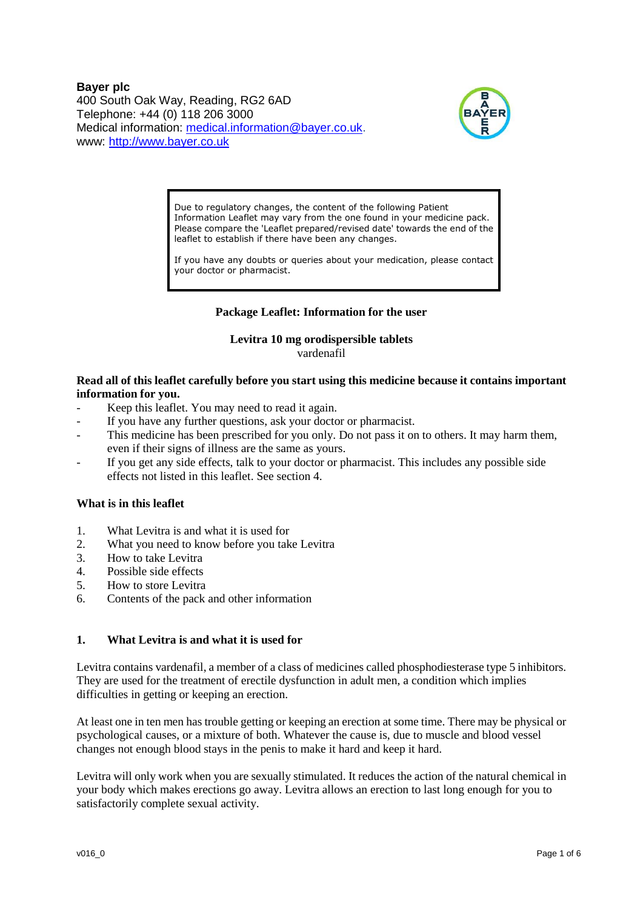**Bayer plc** 400 South Oak Way, Reading, RG2 6AD Telephone: +44 (0) 118 206 3000 Medical information: [medical.information@bayer.co.uk.](mailto:medical.information@bayer.co.uk) www: [http://www.bayer.co.uk](http://www.bayer.co.uk/)



Due to regulatory changes, the content of the following Patient Information Leaflet may vary from the one found in your medicine pack. Please compare the 'Leaflet prepared/revised date' towards the end of the leaflet to establish if there have been any changes.

If you have any doubts or queries about your medication, please contact your doctor or pharmacist.

# **Package Leaflet: Information for the user**

# **Levitra 10 mg orodispersible tablets**

vardenafil

## **Read all of this leaflet carefully before you start using this medicine because it contains important information for you.**

- Keep this leaflet. You may need to read it again.
- If you have any further questions, ask your doctor or pharmacist.
- This medicine has been prescribed for you only. Do not pass it on to others. It may harm them, even if their signs of illness are the same as yours.
- If you get any side effects, talk to your doctor or pharmacist. This includes any possible side effects not listed in this leaflet. See section 4.

## **What is in this leaflet**

- 1. What Levitra is and what it is used for
- 2. What you need to know before you take Levitra
- 3. How to take Levitra
- 4. Possible side effects
- 5. How to store Levitra
- 6. Contents of the pack and other information

## **1. What Levitra is and what it is used for**

Levitra contains vardenafil, a member of a class of medicines called phosphodiesterase type 5 inhibitors. They are used for the treatment of erectile dysfunction in adult men, a condition which implies difficulties in getting or keeping an erection.

At least one in ten men has trouble getting or keeping an erection at some time. There may be physical or psychological causes, or a mixture of both. Whatever the cause is, due to muscle and blood vessel changes not enough blood stays in the penis to make it hard and keep it hard.

Levitra will only work when you are sexually stimulated. It reduces the action of the natural chemical in your body which makes erections go away. Levitra allows an erection to last long enough for you to satisfactorily complete sexual activity.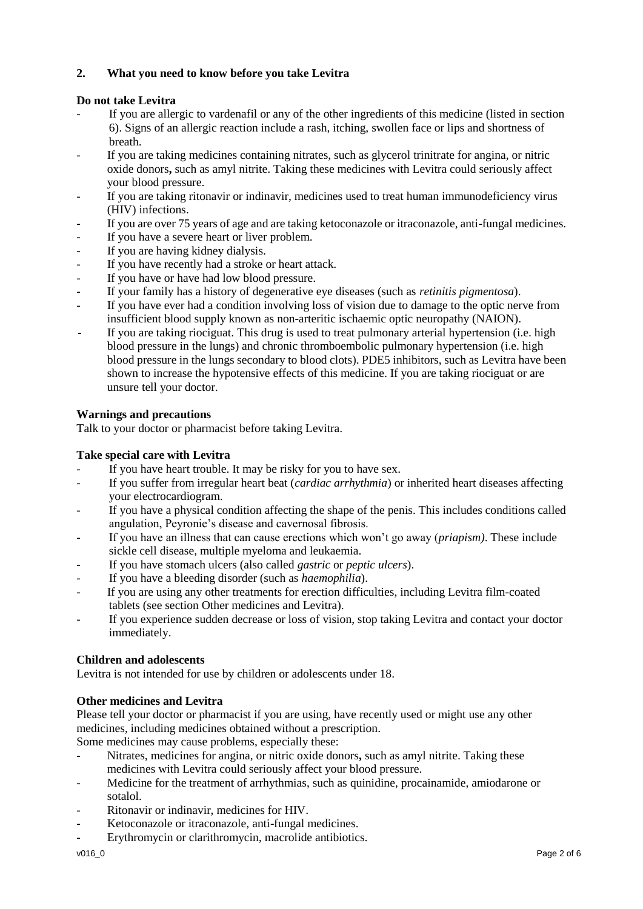# **2. What you need to know before you take Levitra**

# **Do not take Levitra**

- If you are allergic to vardenafil or any of the other ingredients of this medicine (listed in section 6). Signs of an allergic reaction include a rash, itching, swollen face or lips and shortness of breath.
- If you are taking medicines containing nitrates, such as glycerol trinitrate for angina, or nitric oxide donors**,** such as amyl nitrite. Taking these medicines with Levitra could seriously affect your blood pressure.
- If you are taking ritonavir or indinavir, medicines used to treat human immunodeficiency virus (HIV) infections.
- If you are over 75 years of age and are taking ketoconazole or itraconazole, anti-fungal medicines.
- If you have a severe heart or liver problem.
- If you are having kidney dialysis.
- If you have recently had a stroke or heart attack.
- If you have or have had low blood pressure.
- If your family has a history of degenerative eye diseases (such as *retinitis pigmentosa*).
- If you have ever had a condition involving loss of vision due to damage to the optic nerve from insufficient blood supply known as non-arteritic ischaemic optic neuropathy (NAION).
- If you are taking riociguat. This drug is used to treat pulmonary arterial hypertension (i.e. high blood pressure in the lungs) and chronic thromboembolic pulmonary hypertension (i.e. high blood pressure in the lungs secondary to blood clots). PDE5 inhibitors, such as Levitra have been shown to increase the hypotensive effects of this medicine. If you are taking riociguat or are unsure tell your doctor.

# **Warnings and precautions**

Talk to your doctor or pharmacist before taking Levitra.

# **Take special care with Levitra**

- If you have heart trouble. It may be risky for you to have sex.
- If you suffer from irregular heart beat (*cardiac arrhythmia*) or inherited heart diseases affecting your electrocardiogram.
- If you have a physical condition affecting the shape of the penis. This includes conditions called angulation, Peyronie's disease and cavernosal fibrosis.
- If you have an illness that can cause erections which won't go away (*priapism)*. These include sickle cell disease, multiple myeloma and leukaemia.
- If you have stomach ulcers (also called *gastric* or *peptic ulcers*).
- If you have a bleeding disorder (such as *haemophilia*).
- If you are using any other treatments for erection difficulties, including Levitra film-coated tablets (see section Other medicines and Levitra).
- If you experience sudden decrease or loss of vision, stop taking Levitra and contact your doctor immediately.

# **Children and adolescents**

Levitra is not intended for use by children or adolescents under 18.

# **Other medicines and Levitra**

Please tell your doctor or pharmacist if you are using, have recently used or might use any other medicines, including medicines obtained without a prescription.

Some medicines may cause problems, especially these:

- Nitrates, medicines for angina, or nitric oxide donors**,** such as amyl nitrite. Taking these medicines with Levitra could seriously affect your blood pressure.
- Medicine for the treatment of arrhythmias, such as quinidine, procainamide, amiodarone or sotalol.
- Ritonavir or indinavir, medicines for HIV.
- Ketoconazole or itraconazole, anti-fungal medicines.
- Erythromycin or clarithromycin, macrolide antibiotics.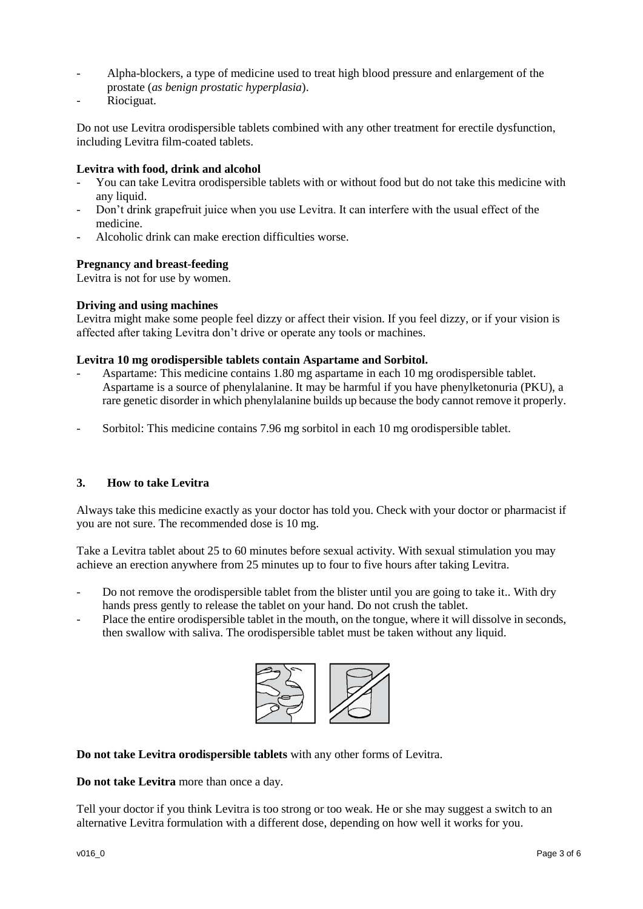- Alpha-blockers, a type of medicine used to treat high blood pressure and enlargement of the prostate (*as benign prostatic hyperplasia*).
- Riociguat.

Do not use Levitra orodispersible tablets combined with any other treatment for erectile dysfunction, including Levitra film-coated tablets.

## **Levitra with food, drink and alcohol**

- You can take Levitra orodispersible tablets with or without food but do not take this medicine with any liquid.
- Don't drink grapefruit juice when you use Levitra. It can interfere with the usual effect of the medicine.
- Alcoholic drink can make erection difficulties worse.

## **Pregnancy and breast-feeding**

Levitra is not for use by women.

## **Driving and using machines**

Levitra might make some people feel dizzy or affect their vision. If you feel dizzy, or if your vision is affected after taking Levitra don't drive or operate any tools or machines.

### **Levitra 10 mg orodispersible tablets contain Aspartame and Sorbitol.**

- Aspartame: This medicine contains 1.80 mg aspartame in each 10 mg orodispersible tablet. Aspartame is a source of phenylalanine. It may be harmful if you have phenylketonuria (PKU), a rare genetic disorder in which phenylalanine builds up because the body cannot remove it properly.
- Sorbitol: This medicine contains 7.96 mg sorbitol in each 10 mg orodispersible tablet.

## **3. How to take Levitra**

Always take this medicine exactly as your doctor has told you. Check with your doctor or pharmacist if you are not sure. The recommended dose is 10 mg.

Take a Levitra tablet about 25 to 60 minutes before sexual activity. With sexual stimulation you may achieve an erection anywhere from 25 minutes up to four to five hours after taking Levitra.

- Do not remove the orodispersible tablet from the blister until you are going to take it.. With dry hands press gently to release the tablet on your hand. Do not crush the tablet.
- Place the entire orodispersible tablet in the mouth, on the tongue, where it will dissolve in seconds, then swallow with saliva. The orodispersible tablet must be taken without any liquid.



**Do not take Levitra orodispersible tablets** with any other forms of Levitra.

**Do not take Levitra** more than once a day.

Tell your doctor if you think Levitra is too strong or too weak. He or she may suggest a switch to an alternative Levitra formulation with a different dose, depending on how well it works for you.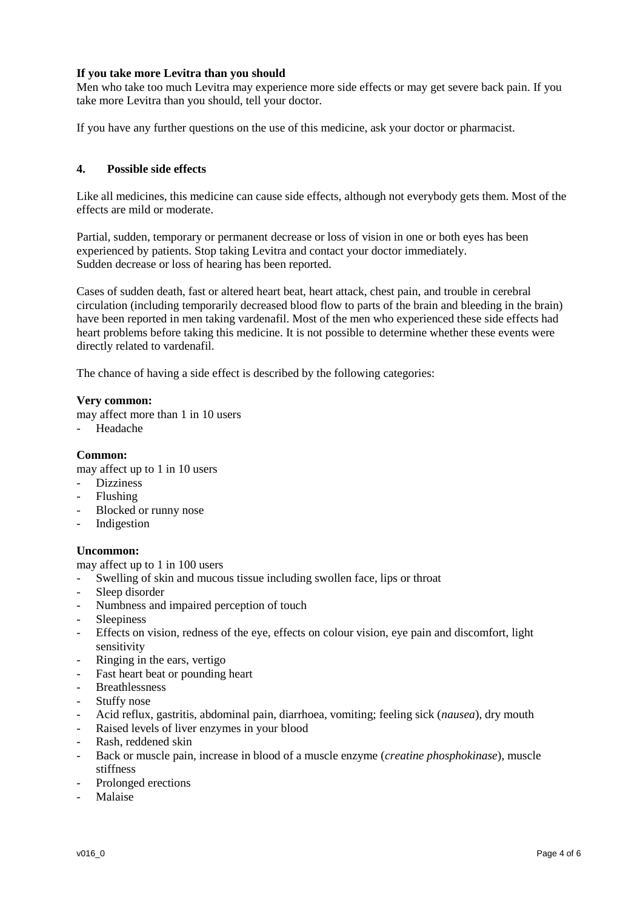# **If you take more Levitra than you should**

Men who take too much Levitra may experience more side effects or may get severe back pain. If you take more Levitra than you should, tell your doctor.

If you have any further questions on the use of this medicine, ask your doctor or pharmacist.

## **4. Possible side effects**

Like all medicines, this medicine can cause side effects, although not everybody gets them. Most of the effects are mild or moderate.

Partial, sudden, temporary or permanent decrease or loss of vision in one or both eyes has been experienced by patients. Stop taking Levitra and contact your doctor immediately. Sudden decrease or loss of hearing has been reported.

Cases of sudden death, fast or altered heart beat, heart attack, chest pain, and trouble in cerebral circulation (including temporarily decreased blood flow to parts of the brain and bleeding in the brain) have been reported in men taking vardenafil. Most of the men who experienced these side effects had heart problems before taking this medicine. It is not possible to determine whether these events were directly related to vardenafil.

The chance of having a side effect is described by the following categories:

#### **Very common:**

- may affect more than 1 in 10 users
- Headache

## **Common:**

may affect up to 1 in 10 users

- **Dizziness**
- Flushing
- Blocked or runny nose
- Indigestion

#### **Uncommon:**

may affect up to 1 in 100 users

- Swelling of skin and mucous tissue including swollen face, lips or throat
- Sleep disorder
- Numbness and impaired perception of touch
- Sleepiness
- Effects on vision, redness of the eye, effects on colour vision, eye pain and discomfort, light sensitivity
- Ringing in the ears, vertigo
- Fast heart beat or pounding heart
- Breathlessness
- Stuffy nose
- Acid reflux, gastritis, abdominal pain, diarrhoea, vomiting; feeling sick (*nausea*), dry mouth
- Raised levels of liver enzymes in your blood
- Rash, reddened skin
- Back or muscle pain, increase in blood of a muscle enzyme (*creatine phosphokinase*), muscle stiffness
- Prolonged erections
- Malaise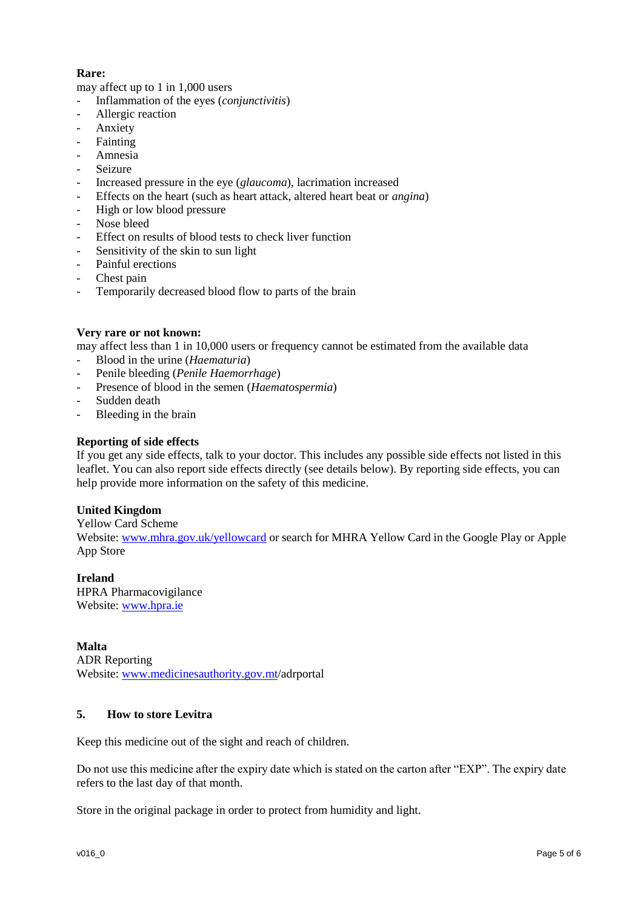# **Rare:**

may affect up to 1 in 1,000 users

- Inflammation of the eyes (*conjunctivitis*)
- Allergic reaction
- **Anxiety**
- Fainting
- Amnesia
- **Seizure**
- Increased pressure in the eye (*glaucoma*), lacrimation increased
- Effects on the heart (such as heart attack, altered heart beat or *angina*)
- High or low blood pressure
- Nose bleed
- Effect on results of blood tests to check liver function
- Sensitivity of the skin to sun light
- Painful erections
- Chest pain
- Temporarily decreased blood flow to parts of the brain

## **Very rare or not known:**

may affect less than 1 in 10,000 users or frequency cannot be estimated from the available data

- Blood in the urine (*Haematuria*)
- Penile bleeding (*Penile Haemorrhage*)
- Presence of blood in the semen (*Haematospermia*)
- Sudden death
- Bleeding in the brain

## **Reporting of side effects**

If you get any side effects, talk to your doctor. This includes any possible side effects not listed in this leaflet. You can also report side effects directly (see details below). By reporting side effects, you can help provide more information on the safety of this medicine.

## **United Kingdom**

Yellow Card Scheme

Website[: www.mhra.gov.uk/yellowcard](http://www.mhra.gov.uk/yellowcard) or search for MHRA Yellow Card in the Google Play or Apple App Store

**Ireland** HPRA Pharmacovigilance Website[: www.hpra.ie](http://www.hpra.ie/)

# **Malta**

ADR Reporting Website[: www.medicinesauthority.gov.mt/](http://www.medicinesauthority.gov.mt/)adrportal

# **5. How to store Levitra**

Keep this medicine out of the sight and reach of children.

Do not use this medicine after the expiry date which is stated on the carton after "EXP". The expiry date refers to the last day of that month.

Store in the original package in order to protect from humidity and light.